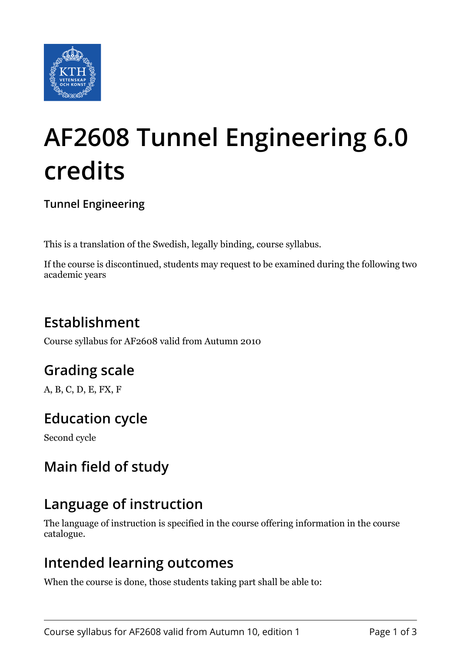

# **AF2608 Tunnel Engineering 6.0 credits**

**Tunnel Engineering**

This is a translation of the Swedish, legally binding, course syllabus.

If the course is discontinued, students may request to be examined during the following two academic years

# **Establishment**

Course syllabus for AF2608 valid from Autumn 2010

# **Grading scale**

A, B, C, D, E, FX, F

# **Education cycle**

Second cycle

# **Main field of study**

## **Language of instruction**

The language of instruction is specified in the course offering information in the course catalogue.

#### **Intended learning outcomes**

When the course is done, those students taking part shall be able to: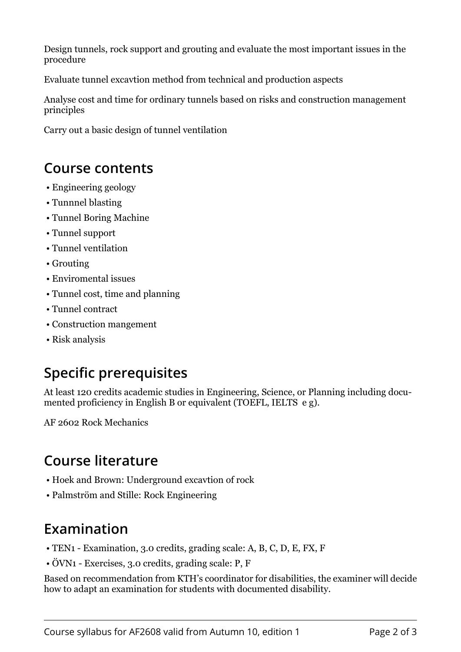Design tunnels, rock support and grouting and evaluate the most important issues in the procedure

Evaluate tunnel excavtion method from technical and production aspects

Analyse cost and time for ordinary tunnels based on risks and construction management principles

Carry out a basic design of tunnel ventilation

#### **Course contents**

- Engineering geology
- Tunnnel blasting
- Tunnel Boring Machine
- Tunnel support
- Tunnel ventilation
- Grouting
- Enviromental issues
- Tunnel cost, time and planning
- Tunnel contract
- Construction mangement
- Risk analysis

# **Specific prerequisites**

At least 120 credits academic studies in Engineering, Science, or Planning including documented proficiency in English B or equivalent (TOEFL, IELTS e g).

AF 2602 Rock Mechanics

## **Course literature**

- Hoek and Brown: Underground excavtion of rock
- Palmström and Stille: Rock Engineering

## **Examination**

- TEN1 Examination, 3.0 credits, grading scale: A, B, C, D, E, FX, F
- ÖVN1 Exercises, 3.0 credits, grading scale: P, F

Based on recommendation from KTH's coordinator for disabilities, the examiner will decide how to adapt an examination for students with documented disability.